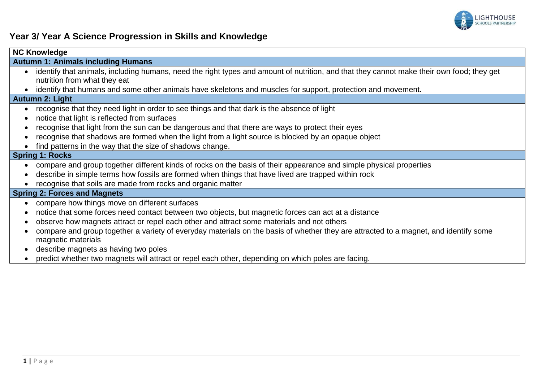

## **Year 3/ Year A Science Progression in Skills and Knowledge**

| <b>NC Knowledge</b>                                                                                                                                                                                                                                                                                                                                                                                                                                                                                                                                                                                                                                                         |  |  |  |
|-----------------------------------------------------------------------------------------------------------------------------------------------------------------------------------------------------------------------------------------------------------------------------------------------------------------------------------------------------------------------------------------------------------------------------------------------------------------------------------------------------------------------------------------------------------------------------------------------------------------------------------------------------------------------------|--|--|--|
| <b>Autumn 1: Animals including Humans</b>                                                                                                                                                                                                                                                                                                                                                                                                                                                                                                                                                                                                                                   |  |  |  |
| identify that animals, including humans, need the right types and amount of nutrition, and that they cannot make their own food; they get<br>nutrition from what they eat<br>identify that humans and some other animals have skeletons and muscles for support, protection and movement.                                                                                                                                                                                                                                                                                                                                                                                   |  |  |  |
| <b>Autumn 2: Light</b>                                                                                                                                                                                                                                                                                                                                                                                                                                                                                                                                                                                                                                                      |  |  |  |
| recognise that they need light in order to see things and that dark is the absence of light<br>notice that light is reflected from surfaces<br>recognise that light from the sun can be dangerous and that there are ways to protect their eyes<br>recognise that shadows are formed when the light from a light source is blocked by an opaque object<br>find patterns in the way that the size of shadows change.<br><b>Spring 1: Rocks</b><br>compare and group together different kinds of rocks on the basis of their appearance and simple physical properties<br>describe in simple terms how fossils are formed when things that have lived are trapped within rock |  |  |  |
| recognise that soils are made from rocks and organic matter                                                                                                                                                                                                                                                                                                                                                                                                                                                                                                                                                                                                                 |  |  |  |
| <b>Spring 2: Forces and Magnets</b>                                                                                                                                                                                                                                                                                                                                                                                                                                                                                                                                                                                                                                         |  |  |  |
| compare how things move on different surfaces<br>notice that some forces need contact between two objects, but magnetic forces can act at a distance<br>observe how magnets attract or repel each other and attract some materials and not others<br>compare and group together a variety of everyday materials on the basis of whether they are attracted to a magnet, and identify some<br>magnetic materials<br>describe magnets as having two poles                                                                                                                                                                                                                     |  |  |  |

predict whether two magnets will attract or repel each other, depending on which poles are facing.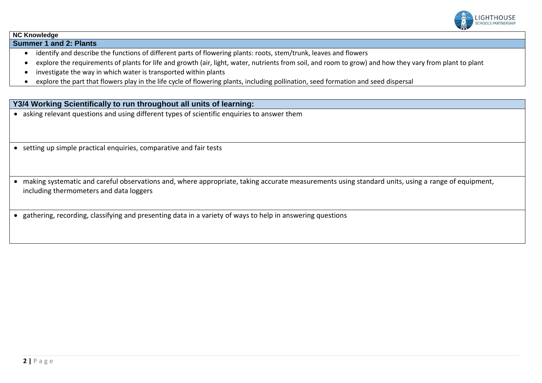

## **NC Knowledge**

**Summer 1 and 2: Plants**

- identify and describe the functions of different parts of flowering plants: roots, stem/trunk, leaves and flowers
- explore the requirements of plants for life and growth (air, light, water, nutrients from soil, and room to grow) and how they vary from plant to plant
- investigate the way in which water is transported within plants
- explore the part that flowers play in the life cycle of flowering plants, including pollination, seed formation and seed dispersal

## **Y3/4 Working Scientifically to run throughout all units of learning:**

- asking relevant questions and using different types of scientific enquiries to answer them
- setting up simple practical enquiries, comparative and fair tests
- making systematic and careful observations and, where appropriate, taking accurate measurements using standard units, using a range of equipment, including thermometers and data loggers
- gathering, recording, classifying and presenting data in a variety of ways to help in answering questions